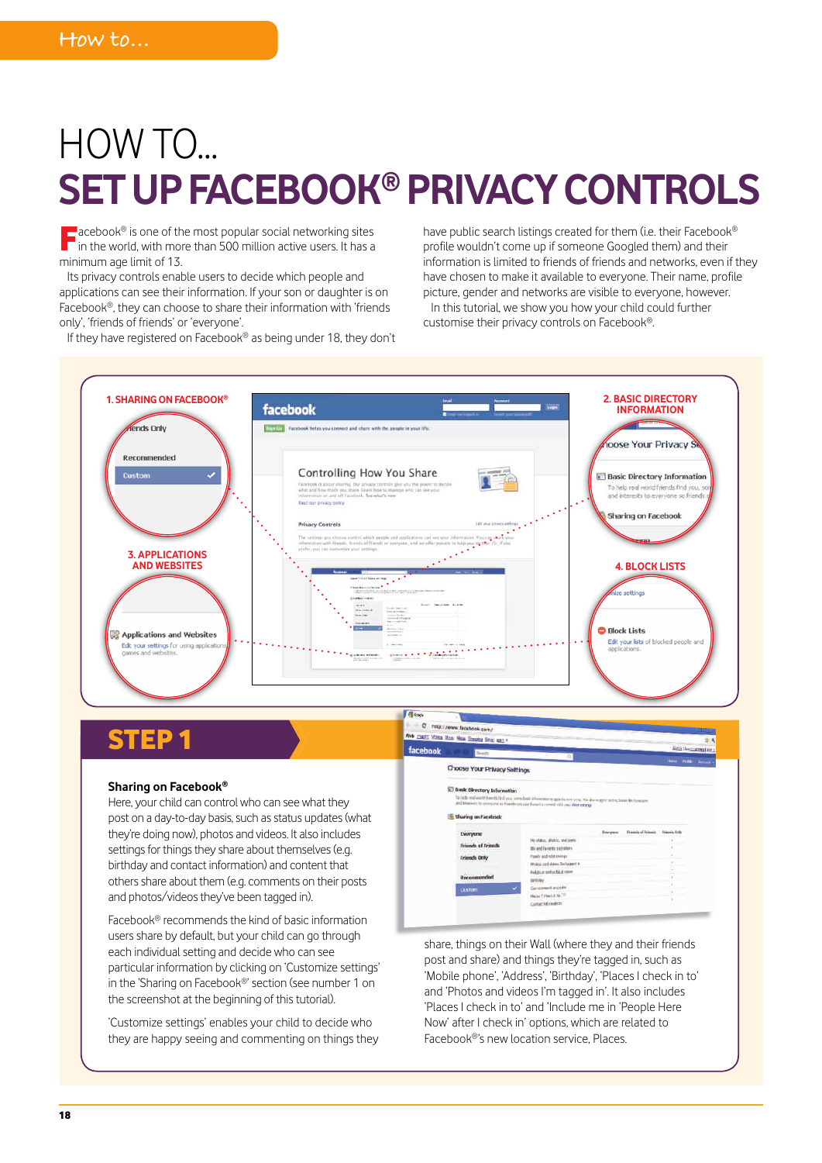# HOW TO... **SET UP FACEBOOK® PRIVACY CONTROLS**

**Facebook®** is one of the most popular social networking sites in the world, with more than 500 million active users. It has a minimum age limit of 13.

Its privacy controls enable users to decide which people and applications can see their information. If your son or daughter is on Facebook®, they can choose to share their information with 'friends only', 'friends of friends' or 'everyone'.

If they have registered on Facebook® as being under 18, they don't

have public search listings created for them (i.e. their Facebook® profile wouldn't come up if someone Googled them) and their information is limited to friends of friends and networks, even if they have chosen to make it available to everyone. Their name, profile picture, gender and networks are visible to everyone, however. In this tutorial, we show you how your child could further

customise their privacy controls on Facebook®.



### **STEP**

#### **Sharing on Facebook®**

Here, your child can control who can see what they post on a day-to-day basis, such as status updates (what they're doing now), photos and videos. It also includes settings for things they share about themselves (e.g. birthday and contact information) and content that others share about them (e.g. comments on their posts and photos/videos they've been tagged in).

Facebook® recommends the kind of basic information users share by default, but your child can go through each individual setting and decide who can see particular information by clicking on 'Customize settings' in the 'Sharing on Facebook®' section (see number 1 on the screenshot at the beginning of this tutorial).

'Customize settings' enables your child to decide who they are happy seeing and commenting on things they

**With Man New Sheples Stre** facebook Choose Your Privacy Settings **IED Break: Directory Inform ID** sharing on facilities schi Citriy

share, things on their Wall (where they and their friends post and share) and things they're tagged in, such as 'Mobile phone', 'Address', 'Birthday', 'Places I check in to' and 'Photos and videos I'm tagged in'. It also includes 'Places I check in to' and 'Include me in 'People Here Now' after I check in' options, which are related to Facebook®'s new location service, Places.